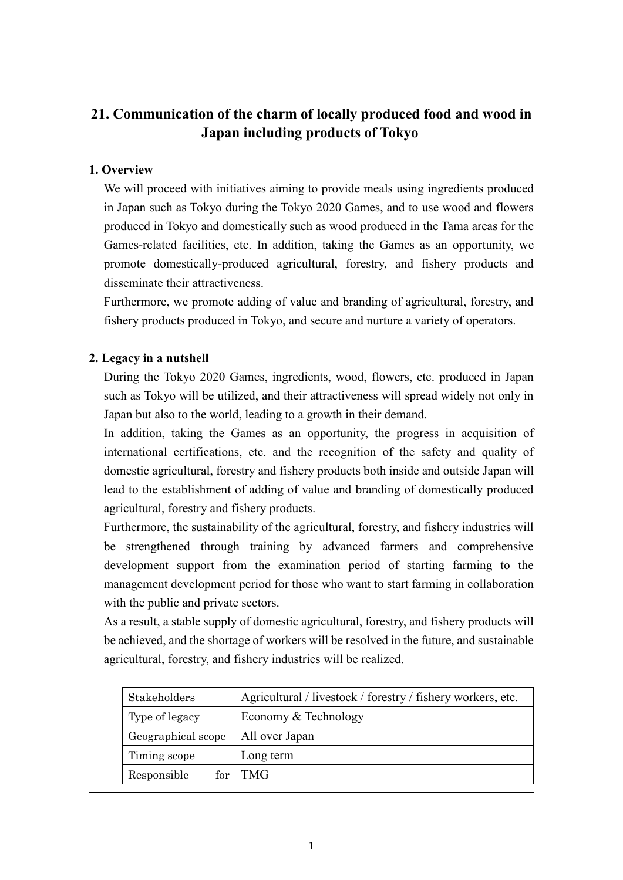## **21. Communication of the charm of locally produced food and wood in Japan including products of Tokyo**

## **1. Overview**

We will proceed with initiatives aiming to provide meals using ingredients produced in Japan such as Tokyo during the Tokyo 2020 Games, and to use wood and flowers produced in Tokyo and domestically such as wood produced in the Tama areas for the Games-related facilities, etc. In addition, taking the Games as an opportunity, we promote domestically-produced agricultural, forestry, and fishery products and disseminate their attractiveness.

Furthermore, we promote adding of value and branding of agricultural, forestry, and fishery products produced in Tokyo, and secure and nurture a variety of operators.

## **2. Legacy in a nutshell**

During the Tokyo 2020 Games, ingredients, wood, flowers, etc. produced in Japan such as Tokyo will be utilized, and their attractiveness will spread widely not only in Japan but also to the world, leading to a growth in their demand.

In addition, taking the Games as an opportunity, the progress in acquisition of international certifications, etc. and the recognition of the safety and quality of domestic agricultural, forestry and fishery products both inside and outside Japan will lead to the establishment of adding of value and branding of domestically produced agricultural, forestry and fishery products.

Furthermore, the sustainability of the agricultural, forestry, and fishery industries will be strengthened through training by advanced farmers and comprehensive development support from the examination period of starting farming to the management development period for those who want to start farming in collaboration with the public and private sectors.

As a result, a stable supply of domestic agricultural, forestry, and fishery products will be achieved, and the shortage of workers will be resolved in the future, and sustainable agricultural, forestry, and fishery industries will be realized.

| Stakeholders       | Agricultural / livestock / forestry / fishery workers, etc. |
|--------------------|-------------------------------------------------------------|
| Type of legacy     | Economy & Technology                                        |
| Geographical scope | All over Japan                                              |
| Timing scope       | Long term                                                   |
| Responsible<br>for | TMG.                                                        |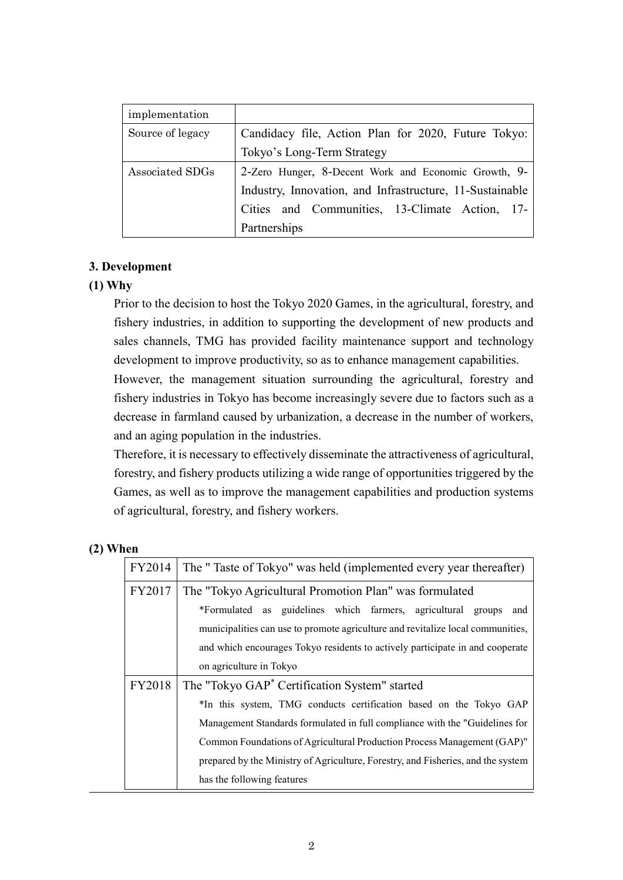| implementation   |                                                          |
|------------------|----------------------------------------------------------|
| Source of legacy | Candidacy file, Action Plan for 2020, Future Tokyo:      |
|                  | Tokyo's Long-Term Strategy                               |
| Associated SDGs  | 2-Zero Hunger, 8-Decent Work and Economic Growth, 9-     |
|                  | Industry, Innovation, and Infrastructure, 11-Sustainable |
|                  | Cities and Communities, 13-Climate Action, 17-           |
|                  | Partnerships                                             |

#### **3. Development**

#### **(1) Why**

Prior to the decision to host the Tokyo 2020 Games, in the agricultural, forestry, and fishery industries, in addition to supporting the development of new products and sales channels, TMG has provided facility maintenance support and technology development to improve productivity, so as to enhance management capabilities.

However, the management situation surrounding the agricultural, forestry and fishery industries in Tokyo has become increasingly severe due to factors such as a decrease in farmland caused by urbanization, a decrease in the number of workers, and an aging population in the industries.

Therefore, it is necessary to effectively disseminate the attractiveness of agricultural, forestry, and fishery products utilizing a wide range of opportunities triggered by the Games, as well as to improve the management capabilities and production systems of agricultural, forestry, and fishery workers.

#### **(2) When**

| FY2014 | The "Taste of Tokyo" was held (implemented every year thereafter)                |  |  |
|--------|----------------------------------------------------------------------------------|--|--|
| FY2017 | The "Tokyo Agricultural Promotion Plan" was formulated                           |  |  |
|        | *Formulated as guidelines which farmers, agricultural groups and                 |  |  |
|        | municipalities can use to promote agriculture and revitalize local communities,  |  |  |
|        | and which encourages Tokyo residents to actively participate in and cooperate    |  |  |
|        | on agriculture in Tokyo                                                          |  |  |
| FY2018 | The "Tokyo GAP <sup>*</sup> Certification System" started                        |  |  |
|        | *In this system, TMG conducts certification based on the Tokyo GAP               |  |  |
|        | Management Standards formulated in full compliance with the "Guidelines for      |  |  |
|        | Common Foundations of Agricultural Production Process Management (GAP)"          |  |  |
|        | prepared by the Ministry of Agriculture, Forestry, and Fisheries, and the system |  |  |
|        | has the following features                                                       |  |  |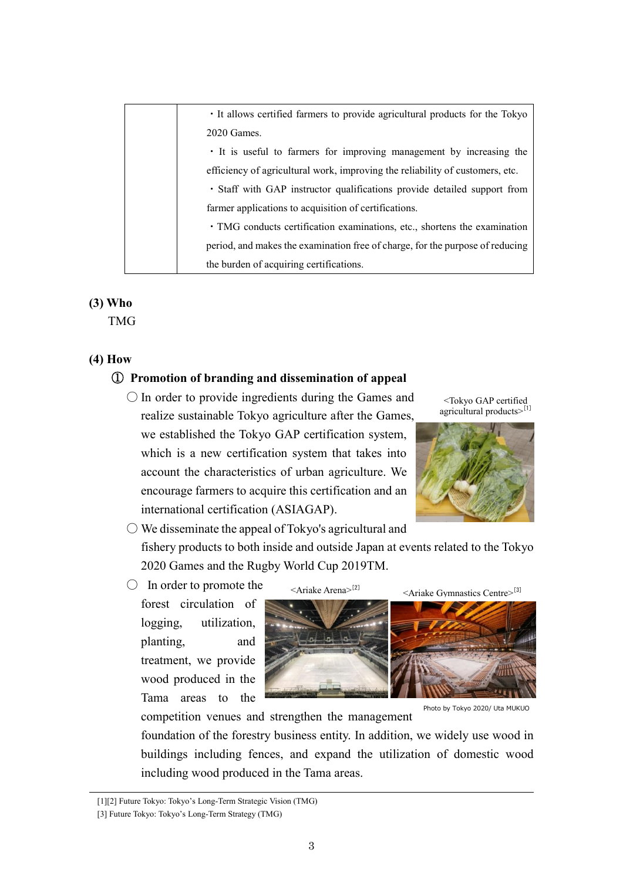| · It allows certified farmers to provide agricultural products for the Tokyo  |
|-------------------------------------------------------------------------------|
| 2020 Games.                                                                   |
| • It is useful to farmers for improving management by increasing the          |
| efficiency of agricultural work, improving the reliability of customers, etc. |
| • Staff with GAP instructor qualifications provide detailed support from      |
| farmer applications to acquisition of certifications.                         |
| · TMG conducts certification examinations, etc., shortens the examination     |
| period, and makes the examination free of charge, for the purpose of reducing |
| the burden of acquiring certifications.                                       |

## **(3) Who**

TMG

## **(4) How**

#### ① **Promotion of branding and dissemination of appeal**

 $\bigcirc$  In order to provide ingredients during the Games and realize sustainable Tokyo agriculture after the Games, we established the Tokyo GAP certification system, which is a new certification system that takes into account the characteristics of urban agriculture. We encourage farmers to acquire this certification and an international certification (ASIAGAP).





 $\bigcirc$  We disseminate the appeal of Tokyo's agricultural and fishery products to both inside and outside Japan at events related to the Tokyo 2020 Games and the Rugby World Cup 2019TM.

 $\bigcirc$  In order to promote the

forest circulation of logging, utilization, planting, and treatment, we provide wood produced in the Tama areas to the



Photo by Tokyo 2020/ Uta MUKUO

competition venues and strengthen the management

foundation of the forestry business entity. In addition, we widely use wood in buildings including fences, and expand the utilization of domestic wood including wood produced in the Tama areas.

[1][2] Future Tokyo: Tokyo's Long-Term Strategic Vision (TMG)

<sup>[3]</sup> Future Tokyo: Tokyo's Long-Term Strategy (TMG)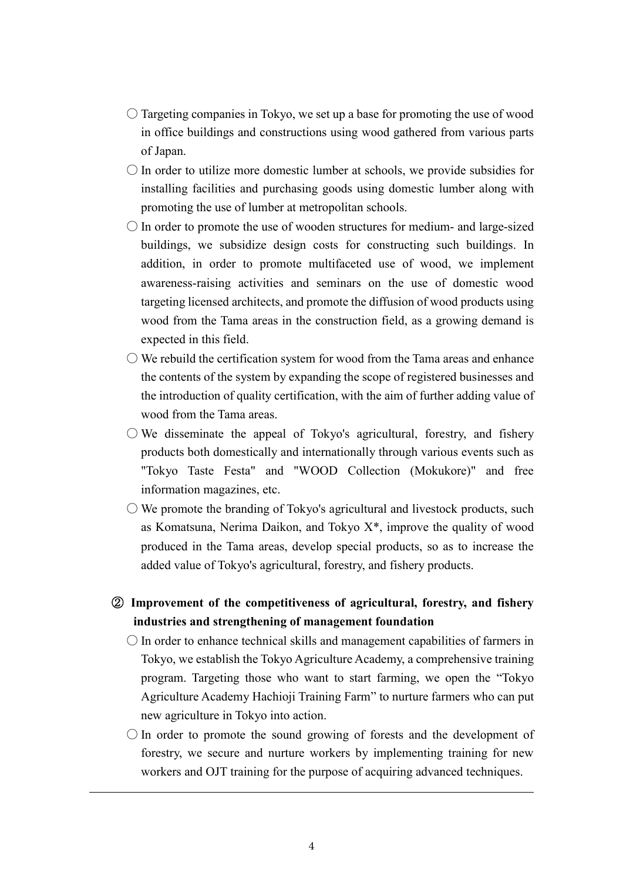- $\bigcirc$  Targeting companies in Tokyo, we set up a base for promoting the use of wood in office buildings and constructions using wood gathered from various parts of Japan.
- $\bigcirc$  In order to utilize more domestic lumber at schools, we provide subsidies for installing facilities and purchasing goods using domestic lumber along with promoting the use of lumber at metropolitan schools.
- $\bigcirc$  In order to promote the use of wooden structures for medium- and large-sized buildings, we subsidize design costs for constructing such buildings. In addition, in order to promote multifaceted use of wood, we implement awareness-raising activities and seminars on the use of domestic wood targeting licensed architects, and promote the diffusion of wood products using wood from the Tama areas in the construction field, as a growing demand is expected in this field.
- $\bigcirc$  We rebuild the certification system for wood from the Tama areas and enhance the contents of the system by expanding the scope of registered businesses and the introduction of quality certification, with the aim of further adding value of wood from the Tama areas.
- $\bigcirc$  We disseminate the appeal of Tokyo's agricultural, forestry, and fishery products both domestically and internationally through various events such as "Tokyo Taste Festa" and "WOOD Collection (Mokukore)" and free information magazines, etc.
- $\bigcirc$  We promote the branding of Tokyo's agricultural and livestock products, such as Komatsuna, Nerima Daikon, and Tokyo  $X^*$ , improve the quality of wood produced in the Tama areas, develop special products, so as to increase the added value of Tokyo's agricultural, forestry, and fishery products.
- ② **Improvement of the competitiveness of agricultural, forestry, and fishery industries and strengthening of management foundation**
	- $\bigcirc$  In order to enhance technical skills and management capabilities of farmers in Tokyo, we establish the Tokyo Agriculture Academy, a comprehensive training program. Targeting those who want to start farming, we open the "Tokyo Agriculture Academy Hachioji Training Farm" to nurture farmers who can put new agriculture in Tokyo into action.
	- $\bigcirc$  In order to promote the sound growing of forests and the development of forestry, we secure and nurture workers by implementing training for new workers and OJT training for the purpose of acquiring advanced techniques.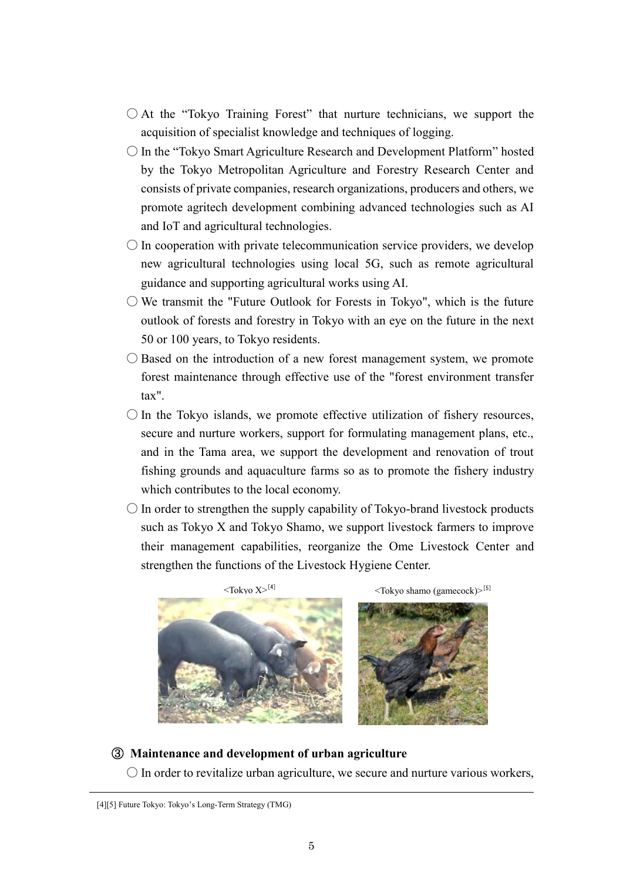- $\bigcirc$  At the "Tokyo Training Forest" that nurture technicians, we support the acquisition of specialist knowledge and techniques of logging.
- In the "Tokyo Smart Agriculture Research and Development Platform" hosted by the Tokyo Metropolitan Agriculture and Forestry Research Center and consists of private companies, research organizations, producers and others, we promote agritech development combining advanced technologies such as AI and IoT and agricultural technologies.
- $\bigcirc$  In cooperation with private telecommunication service providers, we develop new agricultural technologies using local 5G, such as remote agricultural guidance and supporting agricultural works using AI.
- $\bigcirc$  We transmit the "Future Outlook for Forests in Tokyo", which is the future outlook of forests and forestry in Tokyo with an eye on the future in the next 50 or 100 years, to Tokyo residents.
- Based on the introduction of a new forest management system, we promote forest maintenance through effective use of the "forest environment transfer tax".
- $\bigcirc$  In the Tokyo islands, we promote effective utilization of fishery resources, secure and nurture workers, support for formulating management plans, etc., and in the Tama area, we support the development and renovation of trout fishing grounds and aquaculture farms so as to promote the fishery industry which contributes to the local economy.
- $\bigcirc$  In order to strengthen the supply capability of Tokyo-brand livestock products such as Tokyo X and Tokyo Shamo, we support livestock farmers to improve their management capabilities, reorganize the Ome Livestock Center and strengthen the functions of the Livestock Hygiene Center.



#### ③ **Maintenance and development of urban agriculture**

 $\bigcirc$  In order to revitalize urban agriculture, we secure and nurture various workers,

<sup>[4][5]</sup> Future Tokyo: Tokyo's Long-Term Strategy (TMG)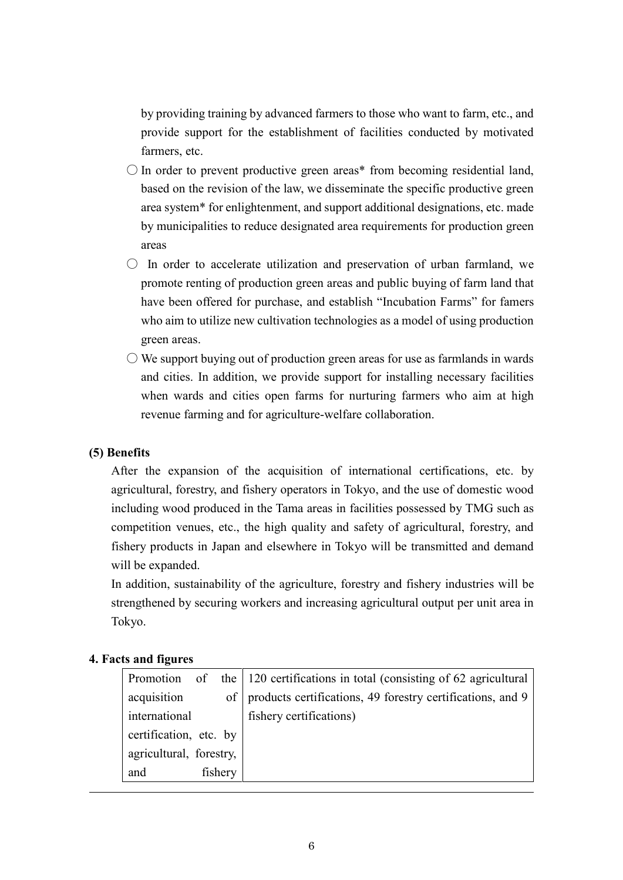by providing training by advanced farmers to those who want to farm, etc., and provide support for the establishment of facilities conducted by motivated farmers, etc.

- $\bigcirc$  In order to prevent productive green areas\* from becoming residential land, based on the revision of the law, we disseminate the specific productive green area system\* for enlightenment, and support additional designations, etc. made by municipalities to reduce designated area requirements for production green areas
- $\circ$  In order to accelerate utilization and preservation of urban farmland, we promote renting of production green areas and public buying of farm land that have been offered for purchase, and establish "Incubation Farms" for famers who aim to utilize new cultivation technologies as a model of using production green areas.
- $\bigcirc$  We support buying out of production green areas for use as farmlands in wards and cities. In addition, we provide support for installing necessary facilities when wards and cities open farms for nurturing farmers who aim at high revenue farming and for agriculture-welfare collaboration.

## **(5) Benefits**

After the expansion of the acquisition of international certifications, etc. by agricultural, forestry, and fishery operators in Tokyo, and the use of domestic wood including wood produced in the Tama areas in facilities possessed by TMG such as competition venues, etc., the high quality and safety of agricultural, forestry, and fishery products in Japan and elsewhere in Tokyo will be transmitted and demand will be expanded.

In addition, sustainability of the agriculture, forestry and fishery industries will be strengthened by securing workers and increasing agricultural output per unit area in Tokyo.

#### **4. Facts and figures**

|                         |         | Promotion of the 120 certifications in total (consisting of 62 agricultural |
|-------------------------|---------|-----------------------------------------------------------------------------|
| acquisition             |         | of products certifications, 49 forestry certifications, and 9               |
| international           |         | fishery certifications)                                                     |
| certification, etc. by  |         |                                                                             |
| agricultural, forestry, |         |                                                                             |
| and                     | fishery |                                                                             |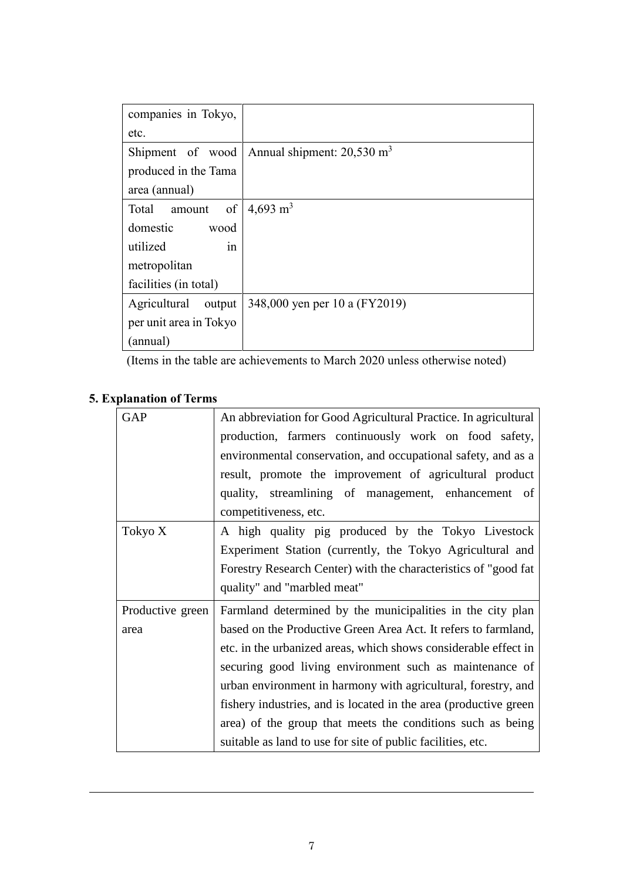| companies in Tokyo,    |                                       |
|------------------------|---------------------------------------|
| etc.                   |                                       |
| Shipment of wood       | Annual shipment: $20,530 \text{ m}^3$ |
| produced in the Tama   |                                       |
| area (annual)          |                                       |
| of<br>Total<br>amount  | 4,693 m <sup>3</sup>                  |
| domestic<br>wood       |                                       |
| utilized<br>in         |                                       |
| metropolitan           |                                       |
| facilities (in total)  |                                       |
| Agricultural<br>output | 348,000 yen per 10 a (FY2019)         |
| per unit area in Tokyo |                                       |
| (annual)               |                                       |

(Items in the table are achievements to March 2020 unless otherwise noted)

# **5. Explanation of Terms**

| <b>GAP</b>       | An abbreviation for Good Agricultural Practice. In agricultural   |
|------------------|-------------------------------------------------------------------|
|                  | production, farmers continuously work on food safety,             |
|                  | environmental conservation, and occupational safety, and as a     |
|                  | result, promote the improvement of agricultural product           |
|                  | quality, streamlining of management, enhancement of               |
|                  | competitiveness, etc.                                             |
| Tokyo X          | A high quality pig produced by the Tokyo Livestock                |
|                  | Experiment Station (currently, the Tokyo Agricultural and         |
|                  | Forestry Research Center) with the characteristics of "good fat   |
|                  | quality" and "marbled meat"                                       |
| Productive green | Farmland determined by the municipalities in the city plan        |
| area             | based on the Productive Green Area Act. It refers to farmland,    |
|                  | etc. in the urbanized areas, which shows considerable effect in   |
|                  | securing good living environment such as maintenance of           |
|                  | urban environment in harmony with agricultural, forestry, and     |
|                  | fishery industries, and is located in the area (productive green) |
|                  | area) of the group that meets the conditions such as being        |
|                  | suitable as land to use for site of public facilities, etc.       |